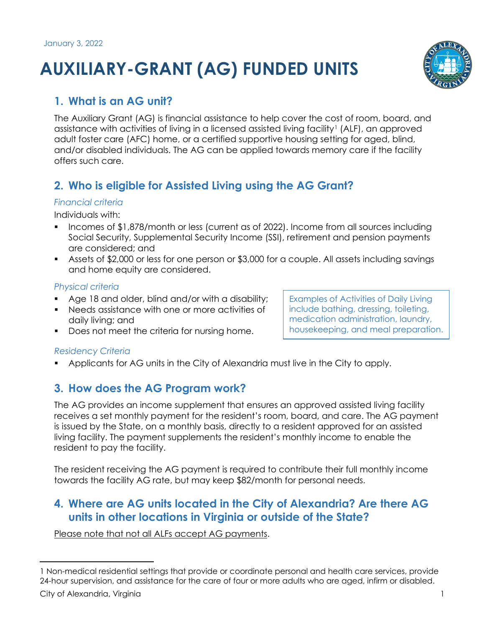# **AUXILIARY-GRANT (AG) FUNDED UNITS**



## **1. What is an AG unit?**

The Auxiliary Grant (AG) is financial assistance to help cover the cost of room, board, and assistance with activities of living in a licensed assisted living facility<sup>[1](#page-0-0)</sup> (ALF), an approved adult foster care (AFC) home, or a certified supportive housing setting for aged, blind, and/or disabled individuals. The AG can be applied towards memory care if the facility offers such care.

## **2. Who is eligible for Assisted Living using the AG Grant?**

#### *Financial criteria*

Individuals with:

- Incomes of \$1,878/month or less (current as of 2022). Income from all sources including Social Security, Supplemental Security Income (SSI), retirement and pension payments are considered; and
- Assets of \$2,000 or less for one person or \$3,000 for a couple. All assets including savings and home equity are considered.

#### *Physical criteria*

- Age 18 and older, blind and/or with a disability;
- Needs assistance with one or more activities of daily living; and
- Does not meet the criteria for nursing home.

Examples of Activities of Daily Living include bathing, dressing, toileting, medication administration, laundry, housekeeping, and meal preparation.

#### *Residency Criteria*

Applicants for AG units in the City of Alexandria must live in the City to apply.

## **3. How does the AG Program work?**

The AG provides an income supplement that ensures an approved assisted living facility receives a set monthly payment for the resident's room, board, and care. The AG payment is issued by the State, on a monthly basis, directly to a resident approved for an assisted living facility. The payment supplements the resident's monthly income to enable the resident to pay the facility.

The resident receiving the AG payment is required to contribute their full monthly income towards the facility AG rate, but may keep \$82/month for personal needs.

## **4. Where are AG units located in the City of Alexandria? Are there AG units in other locations in Virginia or outside of the State?**

Please note that not all ALFs accept AG payments.

<span id="page-0-0"></span><sup>1</sup> Non-medical residential settings that provide or coordinate personal and health care services, provide 24-hour supervision, and assistance for the care of four or more adults who are aged, infirm or disabled.